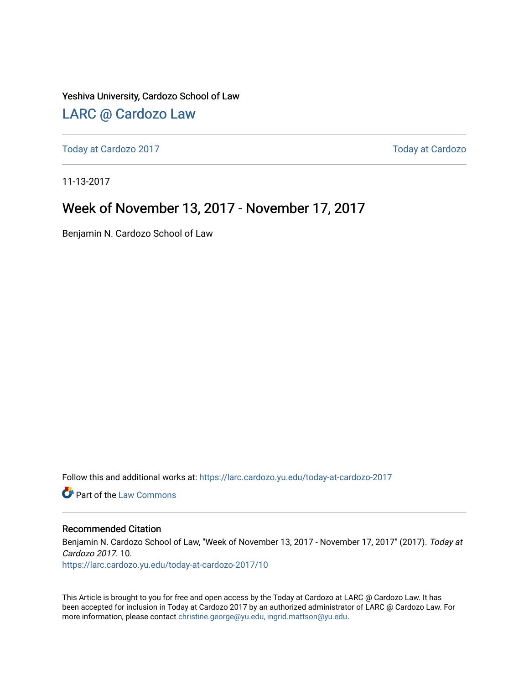Yeshiva University, Cardozo School of Law

## [LARC @ Cardozo Law](https://larc.cardozo.yu.edu/)

[Today at Cardozo 2017](https://larc.cardozo.yu.edu/today-at-cardozo-2017) **Today at Cardozo** 2017

11-13-2017

## Week of November 13, 2017 - November 17, 2017

Benjamin N. Cardozo School of Law

Follow this and additional works at: [https://larc.cardozo.yu.edu/today-at-cardozo-2017](https://larc.cardozo.yu.edu/today-at-cardozo-2017?utm_source=larc.cardozo.yu.edu%2Ftoday-at-cardozo-2017%2F10&utm_medium=PDF&utm_campaign=PDFCoverPages)

**C** Part of the [Law Commons](http://network.bepress.com/hgg/discipline/578?utm_source=larc.cardozo.yu.edu%2Ftoday-at-cardozo-2017%2F10&utm_medium=PDF&utm_campaign=PDFCoverPages)

### Recommended Citation

Benjamin N. Cardozo School of Law, "Week of November 13, 2017 - November 17, 2017" (2017). Today at Cardozo 2017. 10.

[https://larc.cardozo.yu.edu/today-at-cardozo-2017/10](https://larc.cardozo.yu.edu/today-at-cardozo-2017/10?utm_source=larc.cardozo.yu.edu%2Ftoday-at-cardozo-2017%2F10&utm_medium=PDF&utm_campaign=PDFCoverPages) 

This Article is brought to you for free and open access by the Today at Cardozo at LARC @ Cardozo Law. It has been accepted for inclusion in Today at Cardozo 2017 by an authorized administrator of LARC @ Cardozo Law. For more information, please contact [christine.george@yu.edu, ingrid.mattson@yu.edu](mailto:christine.george@yu.edu,%20ingrid.mattson@yu.edu).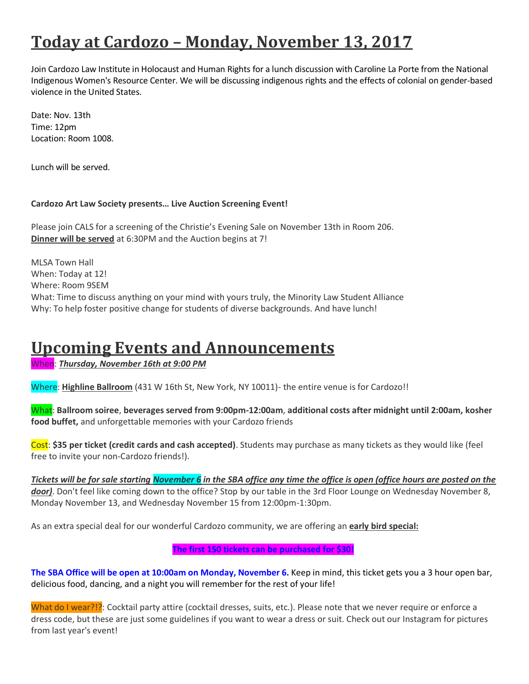# **Today at Cardozo – Monday, November 13, 2017**

Join Cardozo Law Institute in Holocaust and Human Rights for a lunch discussion with Caroline La Porte from the National Indigenous Women's Resource Center. We will be discussing indigenous rights and the effects of colonial on gender-based violence in the United States.

Date: Nov. 13th Time: 12pm Location: Room 1008.

Lunch will be served.

### **Cardozo Art Law Society presents… Live Auction Screening Event!**

Please join CALS for a screening of the Christie's Evening Sale on November 13th in Room 206. **Dinner will be served** at 6:30PM and the Auction begins at 7!

MLSA Town Hall When: Today at 12! Where: Room 9SEM What: Time to discuss anything on your mind with yours truly, the Minority Law Student Alliance Why: To help foster positive change for students of diverse backgrounds. And have lunch!

# **Upcoming Events and Announcements**

When: *Thursday, November 16th at 9:00 PM*

Where: **Highline Ballroom** (431 W 16th St, New York, NY 10011)- the entire venue is for Cardozo!!

What: **Ballroom soiree**, **beverages served from 9:00pm-12:00am**, **additional costs after midnight until 2:00am, kosher food buffet,** and unforgettable memories with your Cardozo friends

Cost: **\$35 per ticket (credit cards and cash accepted)**. Students may purchase as many tickets as they would like (feel free to invite your non-Cardozo friends!).

*Tickets will be for sale starting November 6 in the SBA office any time the office is open (office hours are posted on the door)*. Don't feel like coming down to the office? Stop by our table in the 3rd Floor Lounge on Wednesday November 8, Monday November 13, and Wednesday November 15 from 12:00pm-1:30pm.

As an extra special deal for our wonderful Cardozo community, we are offering an **early bird special:**

### **The first 150 tickets can be purchased for \$30!**

**The SBA Office will be open at 10:00am on Monday, November 6.** Keep in mind, this ticket gets you a 3 hour open bar, delicious food, dancing, and a night you will remember for the rest of your life!

What do I wear?!?: Cocktail party attire (cocktail dresses, suits, etc.). Please note that we never require or enforce a dress code, but these are just some guidelines if you want to wear a dress or suit. Check out our Instagram for pictures from last year's event!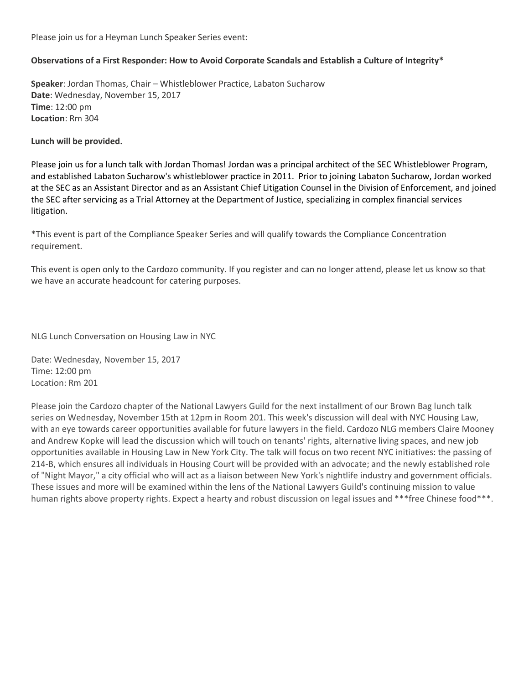Please join us for a Heyman Lunch Speaker Series event:

### **Observations of a First Responder: How to Avoid Corporate Scandals and Establish a Culture of Integrity\***

**Speaker**: Jordan Thomas, Chair – Whistleblower Practice, Labaton Sucharow **Date**: Wednesday, November 15, 2017 **Time**: 12:00 pm **Location**: Rm 304

#### **Lunch will be provided.**

Please join us for a lunch talk with Jordan Thomas! Jordan was a principal architect of the SEC Whistleblower Program, and established Labaton Sucharow's whistleblower practice in 2011. Prior to joining Labaton Sucharow, Jordan worked at the SEC as an Assistant Director and as an Assistant Chief Litigation Counsel in the Division of Enforcement, and joined the SEC after servicing as a Trial Attorney at the Department of Justice, specializing in complex financial services litigation.

\*This event is part of the Compliance Speaker Series and will qualify towards the Compliance Concentration requirement.

This event is open only to the Cardozo community. If you register and can no longer attend, please let us know so that we have an accurate headcount for catering purposes.

NLG Lunch Conversation on Housing Law in NYC

Date: Wednesday, November 15, 2017 Time: 12:00 pm Location: Rm 201

Please join the Cardozo chapter of the National Lawyers Guild for the next installment of our Brown Bag lunch talk series on Wednesday, November 15th at 12pm in Room 201. This week's discussion will deal with NYC Housing Law, with an eye towards career opportunities available for future lawyers in the field. Cardozo NLG members Claire Mooney and Andrew Kopke will lead the discussion which will touch on tenants' rights, alternative living spaces, and new job opportunities available in Housing Law in New York City. The talk will focus on two recent NYC initiatives: the passing of 214-B, which ensures all individuals in Housing Court will be provided with an advocate; and the newly established role of "Night Mayor," a city official who will act as a liaison between New York's nightlife industry and government officials. These issues and more will be examined within the lens of the National Lawyers Guild's continuing mission to value human rights above property rights. Expect a hearty and robust discussion on legal issues and \*\*\*free Chinese food\*\*\*.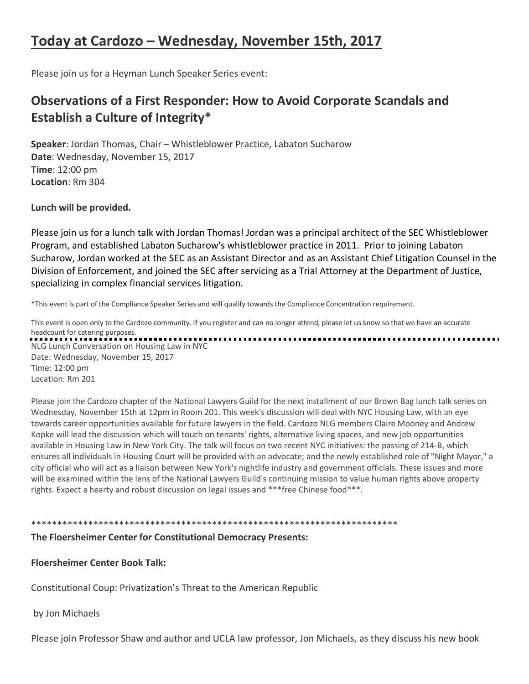# **Today at Cardozo – Wednesday, November 15th, 2017**

Please join us for a Heyman Lunch Speaker Series event:

## **Observations of a First Responder: How to Avoid Corporate Scandals and Establish a Culture of Integrity\***

**Speaker**: Jordan Thomas, Chair – Whistleblower Practice, Labaton Sucharow **Date**: Wednesday, November 15, 2017 **Time**: 12:00 pm **Location**: Rm 304

**Lunch will be provided.**

Please join us for a lunch talk with Jordan Thomas! Jordan was a principal architect of the SEC Whistleblower Program, and established Labaton Sucharow's whistleblower practice in 2011. Prior to joining Labaton Sucharow, Jordan worked at the SEC as an Assistant Director and as an Assistant Chief Litigation Counsel in the Division of Enforcement, and joined the SEC after servicing as a Trial Attorney at the Department of Justice, specializing in complex financial services litigation.

\*This event is part of the Compliance Speaker Series and will qualify towards the Compliance Concentration requirement.

This event is open only to the Cardozo community. If you register and can no longer attend, please let us know so that we have an accurate headcount for catering purposes. NLG Lunch Conversation on Housing Law in NYC Date: Wednesday, November 15, 2017 Time: 12:00 pm Location: Rm 201

Please join the Cardozo chapter of the National Lawyers Guild for the next installment of our Brown Bag lunch talk series on Wednesday, November 15th at 12pm in Room 201. This week's discussion will deal with NYC Housing Law, with an eye towards career opportunities available for future lawyers in the field. Cardozo NLG members Claire Mooney and Andrew Kopke will lead the discussion which will touch on tenants' rights, alternative living spaces, and new job opportunities available in Housing Law in New York City. The talk will focus on two recent NYC initiatives: the passing of 214-B, which ensures all individuals in Housing Court will be provided with an advocate; and the newly established role of "Night Mayor," a city official who will act as a liaison between New York's nightlife industry and government officials. These issues and more will be examined within the lens of the National Lawyers Guild's continuing mission to value human rights above property rights. Expect a hearty and robust discussion on legal issues and \*\*\* free Chinese food\*\*\*.

\*\*\*\*\*\*\*\*\*\*\*\*\*\*\*\*\*\*\*\*\*\*\*\*\*\*\*\*\*\*\*\*\*\*\*\*\*\*\*\*\*\*\*\*\*\*\*\*\*\*\*\*\*\*\*\*\*\*\*\*\*\*\*\*\*\*\*\*\*\*\*

## **The Floersheimer Center for Constitutional Democracy Presents:**

**Floersheimer Center Book Talk:**

Constitutional Coup: Privatization's Threat to the American Republic

by Jon Michaels

Please join Professor Shaw and author and UCLA law professor, Jon Michaels, as they discuss his new book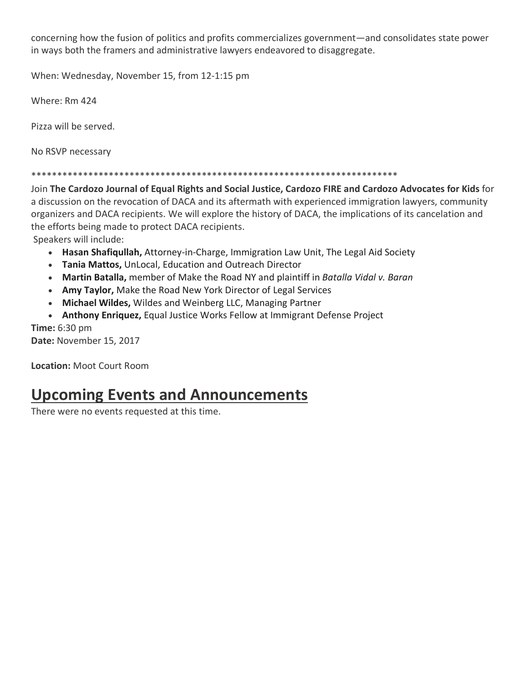concerning how the fusion of politics and profits commercializes government—and consolidates state power in ways both the framers and administrative lawyers endeavored to disaggregate.

When: Wednesday, November 15, from 12-1:15 pm

Where: Rm 424

Pizza will be served.

No RSVP necessary

## \*\*\*\*\*\*\*\*\*\*\*\*\*\*\*\*\*\*\*\*\*\*\*\*\*\*\*\*\*\*\*\*\*\*\*\*\*\*\*\*\*\*\*\*\*\*\*\*\*\*\*\*\*\*\*\*\*\*\*\*\*\*\*\*\*\*\*\*\*\*\*

Join **The Cardozo Journal of Equal Rights and Social Justice, Cardozo FIRE and Cardozo Advocates for Kids** for a discussion on the revocation of DACA and its aftermath with experienced immigration lawyers, community organizers and DACA recipients. We will explore the history of DACA, the implications of its cancelation and the efforts being made to protect DACA recipients.

Speakers will include:

- **Hasan Shafiqullah,** Attorney-in-Charge, Immigration Law Unit, The Legal Aid Society
- **Tania Mattos,** UnLocal, Education and Outreach Director
- **Martin Batalla,** member of Make the Road NY and plaintiff in *Batalla Vidal v. Baran*
- **Amy Taylor,** Make the Road New York Director of Legal Services
- **Michael Wildes,** Wildes and Weinberg LLC, Managing Partner
- **Anthony Enriquez,** Equal Justice Works Fellow at Immigrant Defense Project

**Time:** 6:30 pm **Date:** November 15, 2017

**Location:** Moot Court Room

# **Upcoming Events and Announcements**

There were no events requested at this time.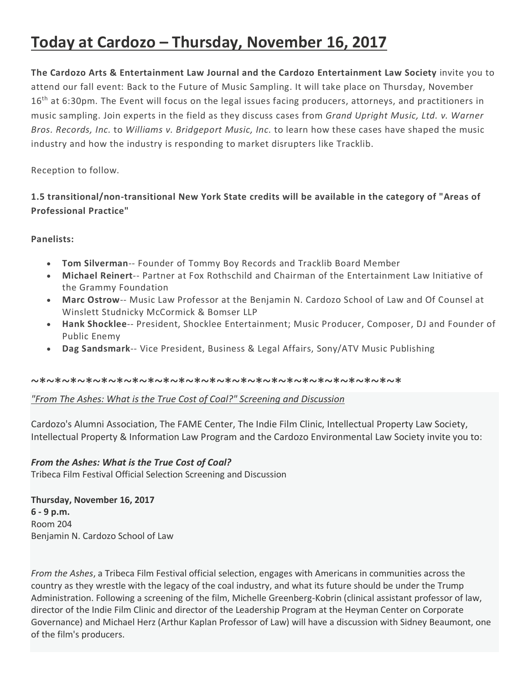# **Today at Cardozo – Thursday, November 16, 2017**

**The Cardozo Arts & Entertainment Law Journal and the Cardozo Entertainment Law Society** invite you to attend our fall event: Back to the Future of Music Sampling. It will take place on Thursday, November 16<sup>th</sup> at 6:30pm. The Event will focus on the legal issues facing producers, attorneys, and practitioners in music sampling. Join experts in the field as they discuss cases from *Grand Upright Music, Ltd. v. Warner Bros. Records, Inc.* to *Williams v. Bridgeport Music, Inc.* to learn how these cases have shaped the music industry and how the industry is responding to market disrupters like Tracklib.

Reception to follow.

## **1.5 transitional/non-transitional New York State credits will be available in the category of "Areas of Professional Practice"**

## **Panelists:**

- **Tom Silverman**-- Founder of Tommy Boy Records and Tracklib Board Member
- **Michael Reinert**-- Partner at Fox Rothschild and Chairman of the Entertainment Law Initiative of the Grammy Foundation
- **Marc Ostrow**-- Music Law Professor at the Benjamin N. Cardozo School of Law and Of Counsel at Winslett Studnicky McCormick & Bomser LLP
- **Hank Shocklee**-- President, Shocklee Entertainment; Music Producer, Composer, DJ and Founder of Public Enemy
- **Dag Sandsmark**-- Vice President, Business & Legal Affairs, Sony/ATV Music Publishing

### ~\*~\*~\*~\*~\*~\*~\*~\*~\*~\*~\*~\*~\*~\*~\*~\*~\*~\*~\*~\*~\*~\*~\*~\*

## *"From The Ashes: What is the True Cost of Coal?" Screening and Discussion*

Cardozo's Alumni Association, The FAME Center, The Indie Film Clinic, Intellectual Property Law Society, Intellectual Property & Information Law Program and the Cardozo Environmental Law Society invite you to:

## *From the Ashes: What is the True Cost of Coal?*

Tribeca Film Festival Official Selection Screening and Discussion

**Thursday, November 16, 2017 6 - 9 p.m.** Room 204 Benjamin N. Cardozo School of Law

*From the Ashes*, a Tribeca Film Festival official selection, engages with Americans in communities across the country as they wrestle with the legacy of the coal industry, and what its future should be under the Trump Administration. Following a screening of the film, Michelle Greenberg-Kobrin (clinical assistant professor of law, director of the Indie Film Clinic and director of the Leadership Program at the Heyman Center on Corporate Governance) and Michael Herz (Arthur Kaplan Professor of Law) will have a discussion with Sidney Beaumont, one of the film's producers.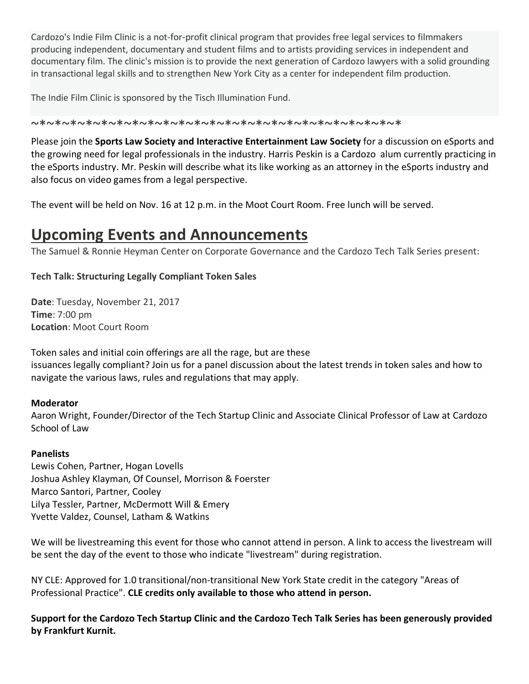Cardozo's Indie Film Clinic is a not-for-profit clinical program that provides free legal services to filmmakers producing independent, documentary and student films and to artists providing services in independent and documentary film. The clinic's mission is to provide the next generation of Cardozo lawyers with a solid grounding in transactional legal skills and to strengthen New York City as a center for independent film production.

The Indie Film Clinic is sponsored by the Tisch Illumination Fund.

~\*~\*~\*~\*~\*~\*~\*~\*~\*~\*~\*~\*~\*~\*~\*~\*~\*~\*~\*~\*~\*~\*~\*~\*

Please join the **Sports Law Society and Interactive Entertainment Law Society** for a discussion on eSports and the growing need for legal professionals in the industry. Harris Peskin is a Cardozo alum currently practicing in the eSports industry. Mr. Peskin will describe what its like working as an attorney in the eSports industry and also focus on video games from a legal perspective.

The event will be held on Nov. 16 at 12 p.m. in the Moot Court Room. Free lunch will be served.

# **Upcoming Events and Announcements**

The Samuel & Ronnie Heyman Center on Corporate Governance and the Cardozo Tech Talk Series present:

## **Tech Talk: Structuring Legally Compliant Token Sales**

**Date**: Tuesday, November 21, 2017 **Time**: 7:00 pm **Location**: Moot Court Room

Token sales and initial coin offerings are all the rage, but are these issuances legally compliant? Join us for a panel discussion about the latest trends in token sales and how to navigate the various laws, rules and regulations that may apply.

## **Moderator**

Aaron Wright, Founder/Director of the Tech Startup Clinic and Associate Clinical Professor of Law at Cardozo School of Law

## **Panelists**

Lewis Cohen, Partner, Hogan Lovells Joshua Ashley Klayman, Of Counsel, Morrison & Foerster Marco Santori, Partner, Cooley Lilya Tessler, Partner, McDermott Will & Emery Yvette Valdez, Counsel, Latham & Watkins

We will be livestreaming this event for those who cannot attend in person. A link to access the livestream will be sent the day of the event to those who indicate "livestream" during registration.

NY CLE: Approved for 1.0 transitional/non-transitional New York State credit in the category "Areas of Professional Practice". **CLE credits only available to those who attend in person.**

**Support for the Cardozo Tech Startup Clinic and the Cardozo Tech Talk Series has been generously provided by Frankfurt Kurnit.**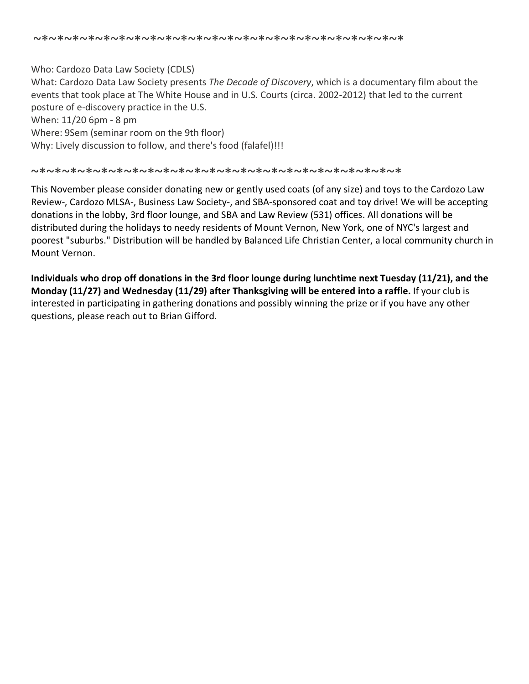Who: Cardozo Data Law Society (CDLS) What: Cardozo Data Law Society presents *The Decade of Discovery*, which is a documentary film about the events that took place at The White House and in U.S. Courts (circa. 2002-2012) that led to the current posture of e-discovery practice in the U.S. When: 11/20 6pm - 8 pm Where: 9Sem (seminar room on the 9th floor) Why: Lively discussion to follow, and there's food (falafel)!!!

#### ~\*~\*~\*~\*~\*~\*~\*~\*~\*~\*~\*~\*~\*~\*~\*~\*~\*~\*~\*~\*~\*~\*~\*~\*

This November please consider donating new or gently used coats (of any size) and toys to the Cardozo Law Review-, Cardozo MLSA-, Business Law Society-, and SBA-sponsored coat and toy drive! We will be accepting donations in the lobby, 3rd floor lounge, and SBA and Law Review (531) offices. All donations will be distributed during the holidays to needy residents of Mount Vernon, New York, one of NYC's largest and poorest "suburbs." Distribution will be handled by Balanced Life Christian Center, a local community church in Mount Vernon.

**Individuals who drop off donations in the 3rd floor lounge during lunchtime next Tuesday (11/21), and the Monday (11/27) and Wednesday (11/29) after Thanksgiving will be entered into a raffle.** If your club is interested in participating in gathering donations and possibly winning the prize or if you have any other questions, please reach out to Brian Gifford.